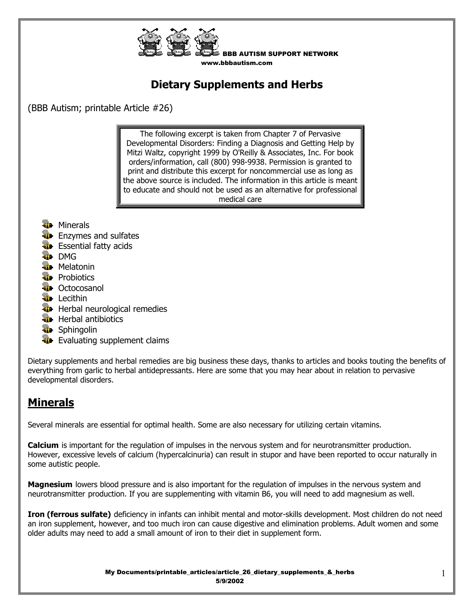

BBB AUTISM SUPPORT NETWORK www.bbbautism.com

# **Dietary Supplements and Herbs**

(BBB Autism; printable Article #26)

The following excerpt is taken from Chapter 7 of Pervasive Developmental Disorders: Finding a Diagnosis and Getting Help by Mitzi Waltz, copyright 1999 by O'Reilly & Associates, Inc. For book orders/information, call (800) 998-9938. Permission is granted to print and distribute this excerpt for noncommercial use as long as the above source is included. The information in this article is meant to educate and should not be used as an alternative for professional medical care

**Minerals** 

- **Enzymes and sulfates**
- **Essential fatty acids**
- **DMG**
- **W** Melatonin
- **RProbiotics**
- **Th** Octocosanol
- **R** Lecithin
- **Herbal neurological remedies**
- **Herbal antibiotics**
- **W** Sphingolin
- **Evaluating supplement claims**

Dietary supplements and herbal remedies are big business these days, thanks to articles and books touting the benefits of everything from garlic to herbal antidepressants. Here are some that you may hear about in relation to pervasive developmental disorders.

## **Minerals**

Several minerals are essential for optimal health. Some are also necessary for utilizing certain vitamins.

**Calcium** is important for the regulation of impulses in the nervous system and for neurotransmitter production. However, excessive levels of calcium (hypercalcinuria) can result in stupor and have been reported to occur naturally in some autistic people.

**Magnesium** lowers blood pressure and is also important for the regulation of impulses in the nervous system and neurotransmitter production. If you are supplementing with vitamin B6, you will need to add magnesium as well.

**Iron (ferrous sulfate)** deficiency in infants can inhibit mental and motor-skills development. Most children do not need an iron supplement, however, and too much iron can cause digestive and elimination problems. Adult women and some older adults may need to add a small amount of iron to their diet in supplement form.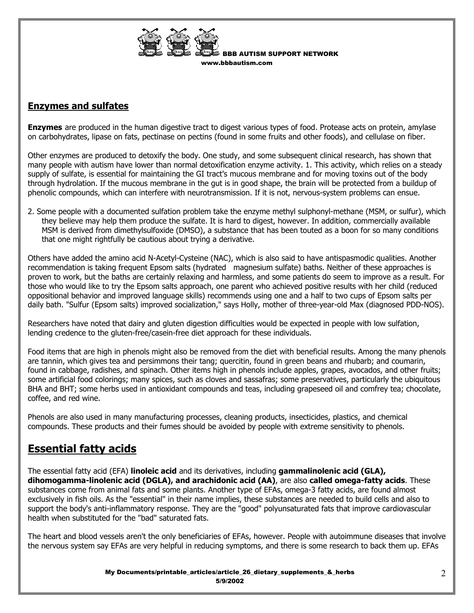

## **Enzymes and sulfates**

**Enzymes** are produced in the human digestive tract to digest various types of food. Protease acts on protein, amylase on carbohydrates, lipase on fats, pectinase on pectins (found in some fruits and other foods), and cellulase on fiber.

Other enzymes are produced to detoxify the body. One study, and some subsequent clinical research, has shown that many people with autism have lower than normal detoxification enzyme activity. 1. This activity, which relies on a steady supply of sulfate, is essential for maintaining the GI tract's mucous membrane and for moving toxins out of the body through hydrolation. If the mucous membrane in the gut is in good shape, the brain will be protected from a buildup of phenolic compounds, which can interfere with neurotransmission. If it is not, nervous-system problems can ensue.

2. Some people with a documented sulfation problem take the enzyme methyl sulphonyl-methane (MSM, or sulfur), which they believe may help them produce the sulfate. It is hard to digest, however. In addition, commercially available MSM is derived from dimethylsulfoxide (DMSO), a substance that has been touted as a boon for so many conditions that one might rightfully be cautious about trying a derivative.

Others have added the amino acid N-Acetyl-Cysteine (NAC), which is also said to have antispasmodic qualities. Another recommendation is taking frequent Epsom salts (hydrated magnesium sulfate) baths. Neither of these approaches is proven to work, but the baths are certainly relaxing and harmless, and some patients do seem to improve as a result. For those who would like to try the Epsom salts approach, one parent who achieved positive results with her child (reduced oppositional behavior and improved language skills) recommends using one and a half to two cups of Epsom salts per daily bath. "Sulfur (Epsom salts) improved socialization," says Holly, mother of three-year-old Max (diagnosed PDD-NOS).

Researchers have noted that dairy and gluten digestion difficulties would be expected in people with low sulfation, lending credence to the gluten-free/casein-free diet approach for these individuals.

Food items that are high in phenols might also be removed from the diet with beneficial results. Among the many phenols are tannin, which gives tea and persimmons their tang; quercitin, found in green beans and rhubarb; and coumarin, found in cabbage, radishes, and spinach. Other items high in phenols include apples, grapes, avocados, and other fruits; some artificial food colorings; many spices, such as cloves and sassafras; some preservatives, particularly the ubiquitous BHA and BHT; some herbs used in antioxidant compounds and teas, including grapeseed oil and comfrey tea; chocolate, coffee, and red wine.

Phenols are also used in many manufacturing processes, cleaning products, insecticides, plastics, and chemical compounds. These products and their fumes should be avoided by people with extreme sensitivity to phenols.

## **Essential fatty acids**

The essential fatty acid (EFA) **linoleic acid** and its derivatives, including **gammalinolenic acid (GLA), dihomogamma-linolenic acid (DGLA), and arachidonic acid (AA)**, are also **called omega-fatty acids**. These substances come from animal fats and some plants. Another type of EFAs, omega-3 fatty acids, are found almost exclusively in fish oils. As the "essential" in their name implies, these substances are needed to build cells and also to support the body's anti-inflammatory response. They are the "good" polyunsaturated fats that improve cardiovascular health when substituted for the "bad" saturated fats.

The heart and blood vessels aren't the only beneficiaries of EFAs, however. People with autoimmune diseases that involve the nervous system say EFAs are very helpful in reducing symptoms, and there is some research to back them up. EFAs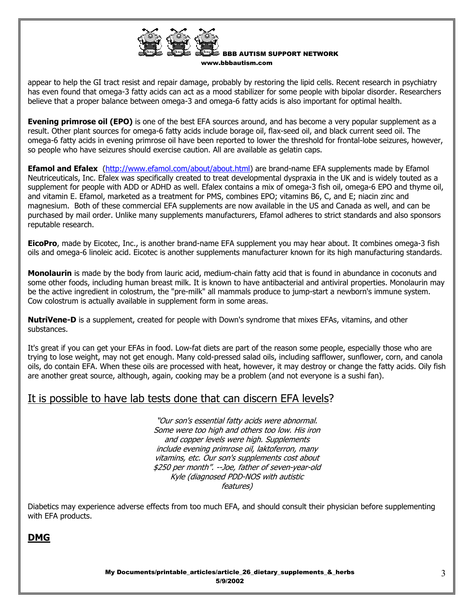

appear to help the GI tract resist and repair damage, probably by restoring the lipid cells. Recent research in psychiatry has even found that omega-3 fatty acids can act as a mood stabilizer for some people with bipolar disorder. Researchers believe that a proper balance between omega-3 and omega-6 fatty acids is also important for optimal health.

**Evening primrose oil (EPO)** is one of the best EFA sources around, and has become a very popular supplement as a result. Other plant sources for omega-6 fatty acids include borage oil, flax-seed oil, and black current seed oil. The omega-6 fatty acids in evening primrose oil have been reported to lower the threshold for frontal-lobe seizures, however, so people who have seizures should exercise caution. All are available as gelatin caps.

**Efamol and Efalex** (http://www.efamol.com/about/about.html) are brand-name EFA supplements made by Efamol Neutriceuticals, Inc. Efalex was specifically created to treat developmental dyspraxia in the UK and is widely touted as a supplement for people with ADD or ADHD as well. Efalex contains a mix of omega-3 fish oil, omega-6 EPO and thyme oil, and vitamin E. Efamol, marketed as a treatment for PMS, combines EPO; vitamins B6, C, and E; niacin zinc and magnesium. Both of these commercial EFA supplements are now available in the US and Canada as well, and can be purchased by mail order. Unlike many supplements manufacturers, Efamol adheres to strict standards and also sponsors reputable research.

**EicoPro**, made by Eicotec, Inc., is another brand-name EFA supplement you may hear about. It combines omega-3 fish oils and omega-6 linoleic acid. Eicotec is another supplements manufacturer known for its high manufacturing standards.

**Monolaurin** is made by the body from lauric acid, medium-chain fatty acid that is found in abundance in coconuts and some other foods, including human breast milk. It is known to have antibacterial and antiviral properties. Monolaurin may be the active ingredient in colostrum, the "pre-milk" all mammals produce to jump-start a newborn's immune system. Cow colostrum is actually available in supplement form in some areas.

**NutriVene-D** is a supplement, created for people with Down's syndrome that mixes EFAs, vitamins, and other substances.

It's great if you can get your EFAs in food. Low-fat diets are part of the reason some people, especially those who are trying to lose weight, may not get enough. Many cold-pressed salad oils, including safflower, sunflower, corn, and canola oils, do contain EFA. When these oils are processed with heat, however, it may destroy or change the fatty acids. Oily fish are another great source, although, again, cooking may be a problem (and not everyone is a sushi fan).

## It is possible to have lab tests done that can discern EFA levels?

"Our son's essential fatty acids were abnormal. Some were too high and others too low. His iron and copper levels were high. Supplements include evening primrose oil, laktoferron, many vitamins, etc. Our son's supplements cost about \$250 per month". --Joe, father of seven-year-old Kyle (diagnosed PDD-NOS with autistic features)

Diabetics may experience adverse effects from too much EFA, and should consult their physician before supplementing with EFA products.

**DMG**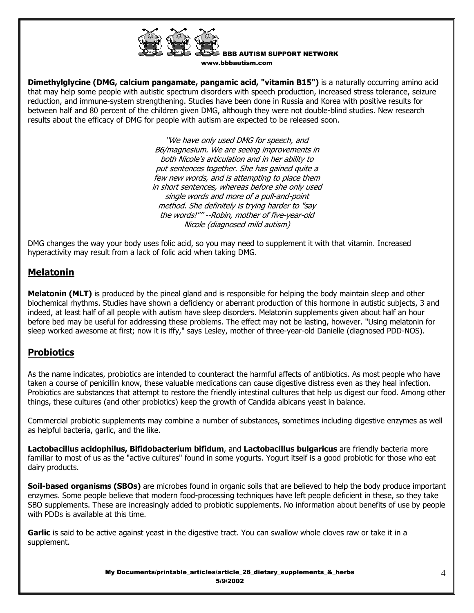

BBB AUTISM SUPPORT NETWORK www.bbbautism.com

**Dimethylglycine (DMG, calcium pangamate, pangamic acid, "vitamin B15")** is a naturally occurring amino acid that may help some people with autistic spectrum disorders with speech production, increased stress tolerance, seizure reduction, and immune-system strengthening. Studies have been done in Russia and Korea with positive results for between half and 80 percent of the children given DMG, although they were not double-blind studies. New research results about the efficacy of DMG for people with autism are expected to be released soon.

> "We have only used DMG for speech, and B6/magnesium. We are seeing improvements in both Nicole's articulation and in her ability to put sentences together. She has gained quite a few new words, and is attempting to place them in short sentences, whereas before she only used single words and more of a pull-and-point method. She definitely is trying harder to "say the words!"" --Robin, mother of five-year-old Nicole (diagnosed mild autism)

DMG changes the way your body uses folic acid, so you may need to supplement it with that vitamin. Increased hyperactivity may result from a lack of folic acid when taking DMG.

### **Melatonin**

**Melatonin (MLT)** is produced by the pineal gland and is responsible for helping the body maintain sleep and other biochemical rhythms. Studies have shown a deficiency or aberrant production of this hormone in autistic subjects, 3 and indeed, at least half of all people with autism have sleep disorders. Melatonin supplements given about half an hour before bed may be useful for addressing these problems. The effect may not be lasting, however. "Using melatonin for sleep worked awesome at first; now it is iffy," says Lesley, mother of three-year-old Danielle (diagnosed PDD-NOS).

#### **Probiotics**

As the name indicates, probiotics are intended to counteract the harmful affects of antibiotics. As most people who have taken a course of penicillin know, these valuable medications can cause digestive distress even as they heal infection. Probiotics are substances that attempt to restore the friendly intestinal cultures that help us digest our food. Among other things, these cultures (and other probiotics) keep the growth of Candida albicans yeast in balance.

Commercial probiotic supplements may combine a number of substances, sometimes including digestive enzymes as well as helpful bacteria, garlic, and the like.

**Lactobacillus acidophilus, Bifidobacterium bifidum**, and **Lactobacillus bulgaricus** are friendly bacteria more familiar to most of us as the "active cultures" found in some yogurts. Yogurt itself is a good probiotic for those who eat dairy products.

**Soil-based organisms (SBOs)** are microbes found in organic soils that are believed to help the body produce important enzymes. Some people believe that modern food-processing techniques have left people deficient in these, so they take SBO supplements. These are increasingly added to probiotic supplements. No information about benefits of use by people with PDDs is available at this time.

Garlic is said to be active against yeast in the digestive tract. You can swallow whole cloves raw or take it in a supplement.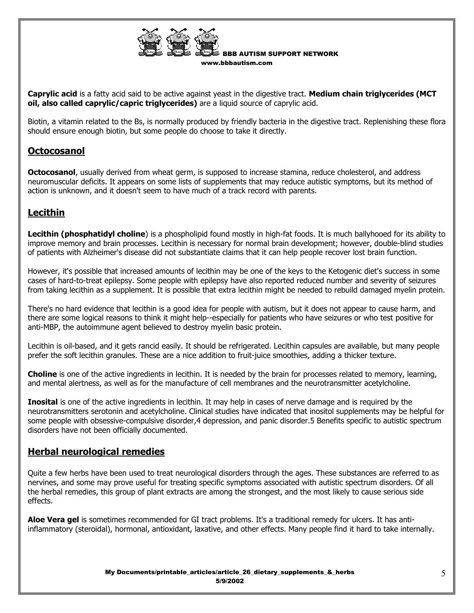

**Caprylic acid** is a fatty acid said to be active against yeast in the digestive tract. **Medium chain triglycerides (MCT oil, also called caprylic/capric triglycerides)** are a liquid source of caprylic acid.

Biotin, a vitamin related to the Bs, is normally produced by friendly bacteria in the digestive tract. Replenishing these flora should ensure enough biotin, but some people do choose to take it directly.

#### **Octocosanol**

**Octocosanol**, usually derived from wheat germ, is supposed to increase stamina, reduce cholesterol, and address neuromuscular deficits. It appears on some lists of supplements that may reduce autistic symptoms, but its method of action is unknown, and it doesn't seem to have much of a track record with parents.

#### **Lecithin**

**Lecithin (phosphatidyl choline**) is a phospholipid found mostly in high-fat foods. It is much ballyhooed for its ability to improve memory and brain processes. Lecithin is necessary for normal brain development; however, double-blind studies of patients with Alzheimer's disease did not substantiate claims that it can help people recover lost brain function.

However, it's possible that increased amounts of lecithin may be one of the keys to the Ketogenic diet's success in some cases of hard-to-treat epilepsy. Some people with epilepsy have also reported reduced number and severity of seizures from taking lecithin as a supplement. It is possible that extra lecithin might be needed to rebuild damaged myelin protein.

There's no hard evidence that lecithin is a good idea for people with autism, but it does not appear to cause harm, and there are some logical reasons to think it might help--especially for patients who have seizures or who test positive for anti-MBP, the autoimmune agent believed to destroy myelin basic protein.

Lecithin is oil-based, and it gets rancid easily. It should be refrigerated. Lecithin capsules are available, but many people prefer the soft lecithin granules. These are a nice addition to fruit-juice smoothies, adding a thicker texture.

**Choline** is one of the active ingredients in lecithin. It is needed by the brain for processes related to memory, learning, and mental alertness, as well as for the manufacture of cell membranes and the neurotransmitter acetylcholine.

**Inosital** is one of the active ingredients in lecithin. It may help in cases of nerve damage and is required by the neurotransmitters serotonin and acetylcholine. Clinical studies have indicated that inositol supplements may be helpful for some people with obsessive-compulsive disorder,4 depression, and panic disorder.5 Benefits specific to autistic spectrum disorders have not been officially documented.

#### **Herbal neurological remedies**

Quite a few herbs have been used to treat neurological disorders through the ages. These substances are referred to as nervines, and some may prove useful for treating specific symptoms associated with autistic spectrum disorders. Of all the herbal remedies, this group of plant extracts are among the strongest, and the most likely to cause serious side effects.

**Aloe Vera gel** is sometimes recommended for GI tract problems. It's a traditional remedy for ulcers. It has antiinflammatory (steroidal), hormonal, antioxidant, laxative, and other effects. Many people find it hard to take internally.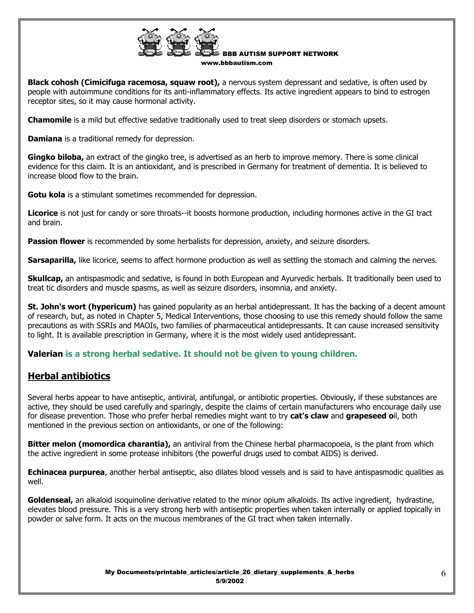

**Black cohosh (Cimicifuga racemosa, squaw root),** a nervous system depressant and sedative, is often used by people with autoimmune conditions for its anti-inflammatory effects. Its active ingredient appears to bind to estrogen receptor sites, so it may cause hormonal activity.

**Chamomile** is a mild but effective sedative traditionally used to treat sleep disorders or stomach upsets.

**Damiana** is a traditional remedy for depression.

**Gingko biloba,** an extract of the gingko tree, is advertised as an herb to improve memory. There is some clinical evidence for this claim. It is an antioxidant, and is prescribed in Germany for treatment of dementia. It is believed to increase blood flow to the brain.

**Gotu kola** is a stimulant sometimes recommended for depression.

**Licorice** is not just for candy or sore throats--it boosts hormone production, including hormones active in the GI tract and brain.

**Passion flower** is recommended by some herbalists for depression, anxiety, and seizure disorders.

**Sarsaparilla,** like licorice, seems to affect hormone production as well as settling the stomach and calming the nerves.

**Skullcap,** an antispasmodic and sedative, is found in both European and Ayurvedic herbals. It traditionally been used to treat tic disorders and muscle spasms, as well as seizure disorders, insomnia, and anxiety.

**St. John's wort (hypericum)** has gained popularity as an herbal antidepressant. It has the backing of a decent amount of research, but, as noted in Chapter 5, Medical Interventions, those choosing to use this remedy should follow the same precautions as with SSRIs and MAOIs, two families of pharmaceutical antidepressants. It can cause increased sensitivity to light. It is available prescription in Germany, where it is the most widely used antidepressant.

#### **Valerian is a strong herbal sedative. It should not be given to young children.**

#### **Herbal antibiotics**

Several herbs appear to have antiseptic, antiviral, antifungal, or antibiotic properties. Obviously, if these substances are active, they should be used carefully and sparingly, despite the claims of certain manufacturers who encourage daily use for disease prevention. Those who prefer herbal remedies might want to try **cat's claw** and **grapeseed o**il, both mentioned in the previous section on antioxidants, or one of the following:

**Bitter melon (momordica charantia),** an antiviral from the Chinese herbal pharmacopoeia, is the plant from which the active ingredient in some protease inhibitors (the powerful drugs used to combat AIDS) is derived.

**Echinacea purpurea**, another herbal antiseptic, also dilates blood vessels and is said to have antispasmodic qualities as well.

**Goldenseal,** an alkaloid isoquinoline derivative related to the minor opium alkaloids. Its active ingredient, hydrastine, elevates blood pressure. This is a very strong herb with antiseptic properties when taken internally or applied topically in powder or salve form. It acts on the mucous membranes of the GI tract when taken internally.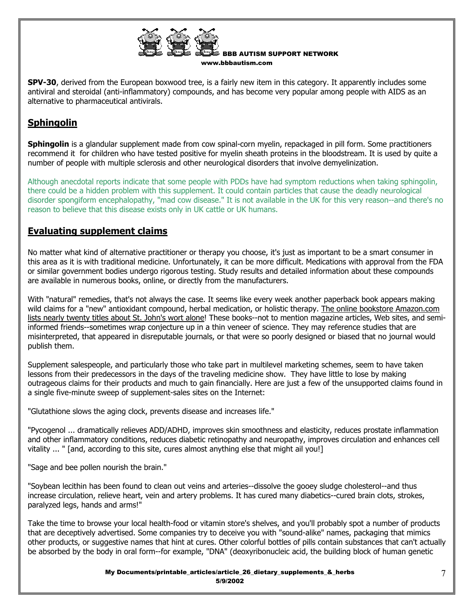

**SPV-30**, derived from the European boxwood tree, is a fairly new item in this category. It apparently includes some antiviral and steroidal (anti-inflammatory) compounds, and has become very popular among people with AIDS as an alternative to pharmaceutical antivirals.

## **Sphingolin**

**Sphingolin** is a glandular supplement made from cow spinal-corn myelin, repackaged in pill form. Some practitioners recommend it for children who have tested positive for myelin sheath proteins in the bloodstream. It is used by quite a number of people with multiple sclerosis and other neurological disorders that involve demyelinization.

Although anecdotal reports indicate that some people with PDDs have had symptom reductions when taking sphingolin, there could be a hidden problem with this supplement. It could contain particles that cause the deadly neurological disorder spongiform encephalopathy, "mad cow disease." It is not available in the UK for this very reason--and there's no reason to believe that this disease exists only in UK cattle or UK humans.

### **Evaluating supplement claims**

No matter what kind of alternative practitioner or therapy you choose, it's just as important to be a smart consumer in this area as it is with traditional medicine. Unfortunately, it can be more difficult. Medications with approval from the FDA or similar government bodies undergo rigorous testing. Study results and detailed information about these compounds are available in numerous books, online, or directly from the manufacturers.

With "natural" remedies, that's not always the case. It seems like every week another paperback book appears making wild claims for a "new" antioxidant compound, herbal medication, or holistic therapy. The online bookstore Amazon.com lists nearly twenty titles about St. John's wort alone! These books--not to mention magazine articles, Web sites, and semiinformed friends--sometimes wrap conjecture up in a thin veneer of science. They may reference studies that are misinterpreted, that appeared in disreputable journals, or that were so poorly designed or biased that no journal would publish them.

Supplement salespeople, and particularly those who take part in multilevel marketing schemes, seem to have taken lessons from their predecessors in the days of the traveling medicine show. They have little to lose by making outrageous claims for their products and much to gain financially. Here are just a few of the unsupported claims found in a single five-minute sweep of supplement-sales sites on the Internet:

"Glutathione slows the aging clock, prevents disease and increases life."

"Pycogenol ... dramatically relieves ADD/ADHD, improves skin smoothness and elasticity, reduces prostate inflammation and other inflammatory conditions, reduces diabetic retinopathy and neuropathy, improves circulation and enhances cell vitality ... " [and, according to this site, cures almost anything else that might ail you!]

"Sage and bee pollen nourish the brain."

"Soybean lecithin has been found to clean out veins and arteries--dissolve the gooey sludge cholesterol--and thus increase circulation, relieve heart, vein and artery problems. It has cured many diabetics--cured brain clots, strokes, paralyzed legs, hands and arms!"

Take the time to browse your local health-food or vitamin store's shelves, and you'll probably spot a number of products that are deceptively advertised. Some companies try to deceive you with "sound-alike" names, packaging that mimics other products, or suggestive names that hint at cures. Other colorful bottles of pills contain substances that can't actually be absorbed by the body in oral form--for example, "DNA" (deoxyribonucleic acid, the building block of human genetic

> My Documents/printable\_articles/article\_26\_dietary\_supplements\_&\_herbs 5/9/2002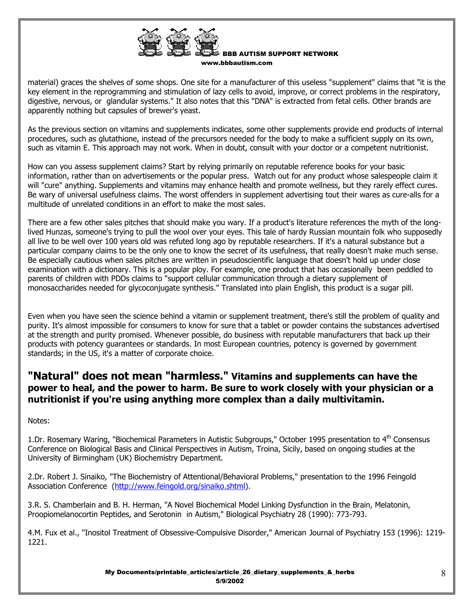

material) graces the shelves of some shops. One site for a manufacturer of this useless "supplement" claims that "it is the key element in the reprogramming and stimulation of lazy cells to avoid, improve, or correct problems in the respiratory, digestive, nervous, or glandular systems." It also notes that this "DNA" is extracted from fetal cells. Other brands are apparently nothing but capsules of brewer's yeast.

As the previous section on vitamins and supplements indicates, some other supplements provide end products of internal procedures, such as glutathione, instead of the precursors needed for the body to make a sufficient supply on its own, such as vitamin E. This approach may not work. When in doubt, consult with your doctor or a competent nutritionist.

How can you assess supplement claims? Start by relying primarily on reputable reference books for your basic information, rather than on advertisements or the popular press. Watch out for any product whose salespeople claim it will "cure" anything. Supplements and vitamins may enhance health and promote wellness, but they rarely effect cures. Be wary of universal usefulness claims. The worst offenders in supplement advertising tout their wares as cure-alls for a multitude of unrelated conditions in an effort to make the most sales.

There are a few other sales pitches that should make you wary. If a product's literature references the myth of the longlived Hunzas, someone's trying to pull the wool over your eyes. This tale of hardy Russian mountain folk who supposedly all live to be well over 100 years old was refuted long ago by reputable researchers. If it's a natural substance but a particular company claims to be the only one to know the secret of its usefulness, that really doesn't make much sense. Be especially cautious when sales pitches are written in pseudoscientific language that doesn't hold up under close examination with a dictionary. This is a popular ploy. For example, one product that has occasionally been peddled to parents of children with PDDs claims to "support cellular communication through a dietary supplement of monosaccharides needed for glycoconjugate synthesis." Translated into plain English, this product is a sugar pill.

Even when you have seen the science behind a vitamin or supplement treatment, there's still the problem of quality and purity. It's almost impossible for consumers to know for sure that a tablet or powder contains the substances advertised at the strength and purity promised. Whenever possible, do business with reputable manufacturers that back up their products with potency guarantees or standards. In most European countries, potency is governed by government standards; in the US, it's a matter of corporate choice.

## **"Natural" does not mean "harmless." Vitamins and supplements can have the power to heal, and the power to harm. Be sure to work closely with your physician or a nutritionist if you're using anything more complex than a daily multivitamin.**

Notes:

1.Dr. Rosemary Waring, "Biochemical Parameters in Autistic Subgroups," October 1995 presentation to 4th Consensus Conference on Biological Basis and Clinical Perspectives in Autism, Troina, Sicily, based on ongoing studies at the University of Birmingham (UK) Biochemistry Department.

2.Dr. Robert J. Sinaiko, "The Biochemistry of Attentional/Behavioral Problems," presentation to the 1996 Feingold Association Conference (http://www.feingold.org/sinaiko.shtml).

3.R. S. Chamberlain and B. H. Herman, "A Novel Biochemical Model Linking Dysfunction in the Brain, Melatonin, Proopiomelanocortin Peptides, and Serotonin in Autism," Biological Psychiatry 28 (1990): 773-793.

4.M. Fux et al., "Inositol Treatment of Obsessive-Compulsive Disorder," American Journal of Psychiatry 153 (1996): 1219- 1221.